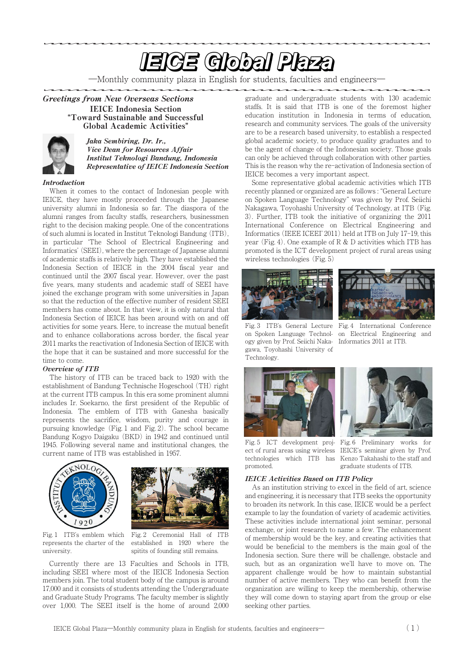# **EIGE Global Plaza**

―Monthly community plaza in English for students, faculties and engineers―

Greetings from New Overseas Sections **"**IEICE Indonesia Section Toward Sustainable and Successful Global Academic Activities**"**



Jaka Sembiring, Dr. Ir., Vice Dean for Resources Affair Institut Teknologi Bandung, Indonesia Representative of IEICE Indonesia Section

## Introduction

When it comes to the contact of Indonesian people with IEICE, they have mostly proceeded through the Japanese university alumni in Indonesia so far. The diaspora of the alumni ranges from faculty staffs, researchers, businessmen right to the decision making people. One of the concentrations of such alumni is located in Institut Teknologi Bandung (ITB), in particular ʻThe School of Electrical Engineering and Informatics' (SEEI), where the percentage of Japanese alumni of academic staffs is relatively high. They have established the Indonesia Section of IEICE in the 2004 fiscal year and continued until the 2007 fiscal year. However, over the past five years, many students and academic staff of SEEI have joined the exchange program with some universities in Japan so that the reduction of the effective number of resident SEEI members has come about. In that view, it is only natural that Indonesia Section of IEICE has been around with on and off activities for some years. Here, to increase the mutual benefit and to enhance collaborations across border, the fiscal year 2011 marks the reactivation of Indonesia Section of IEICE with the hope that it can be sustained and more successful for the time to come.

## Overview of ITB

The history of ITB can be traced back to 1920 with the establishment of Bandung Technische Hogeschool (TH) right at the current ITB campus. In this era some prominent alumni includes Ir. Soekarno, the first president of the Republic of Indonesia. The emblem of ITB with Ganesha basically represents the sacrifice, wisdom, purity and courage in pursuing knowledge (Fig. 1 and Fig. 2). The school became Bandung Kogyo Daigaku (BKD) in 1942 and continued until 1945. Following several name and institutional changes, the current name of ITB was established in 1957.





represents the charter of the university.

Fig. 1 ITB's emblem which Fig. 2 Ceremonial Hall of ITB established in 1920 where the spitits of founding still remains.

Currently there are 13 Faculties and Schools in ITB, including SEEI where most of the IEICE Indonesia Section members join. The total student body of the campus is around 17,000 and it consists of students attending the Undergraduate and Graduate Study Programs. The faculty member is slightly over 1,000. The SEEI itself is the home of around 2,000 graduate and undergraduate students with 130 academic staffs. It is said that ITB is one of the foremost higher education institution in Indonesia in terms of education, research and community services. The goals of the university are to be a research based university, to establish a respected global academic society, to produce quality graduates and to be the agent of change of the Indonesian society. Those goals can only be achieved through collaboration with other parties. This is the reason why the re-activation of Indonesia section of IEICE becomes a very important aspect.

Some representative global academic activities which ITB recently planned or organized are as follows : "General Lecture on Spoken Language Technology" was given by Prof. Seiichi Nakagawa, Toyohashi University of Technology, at ITB (Fig. 3). Further, ITB took the initiative of organizing the 2011 International Conference on Electrical Engineering and Informatics (IEEE ICEEI' 2011) held at ITB on July 17-19, this year (Fig. 4). One example of  $R \& D$  activities which ITB has promoted is the ICT development project of rural areas using wireless technologies (Fig. 5)





Fig. 3 ITB's General Lecture Fig. 4 International Conference on Spoken Language Technol-on Electrical Engineering and ogy given by Prof. Seiichi Naka- Informatics 2011 at ITB. gawa, Toyohashi University of Technology.



Fig. 5 ICT development proj- Fig. 6 Preliminary works for ect of rural areas using wireless IEICE's seminar given by Prof. technologies which ITB has Kenzo Takahashi to the staff and promoted. graduate students of ITB.

#### IEICE Activities Based on ITB Policy

As an institution striving to excel in the field of art, science and engineering, it is necessary that ITB seeks the opportunity to broaden its network. In this case, IEICE would be a perfect example to lay the foundation of variety of academic activities. These activities include international joint seminar, personal exchange, or joint research to name a few. The enhancement of membership would be the key, and creating activities that would be beneficial to the members is the main goal of the Indonesia section. Sure there will be challenge, obstacle and such, but as an organization we'll have to move on. The apparent challenge would be how to maintain substantial number of active members. They who can benefit from the organization are willing to keep the membership, otherwise they will come down to staying apart from the group or else seeking other parties.